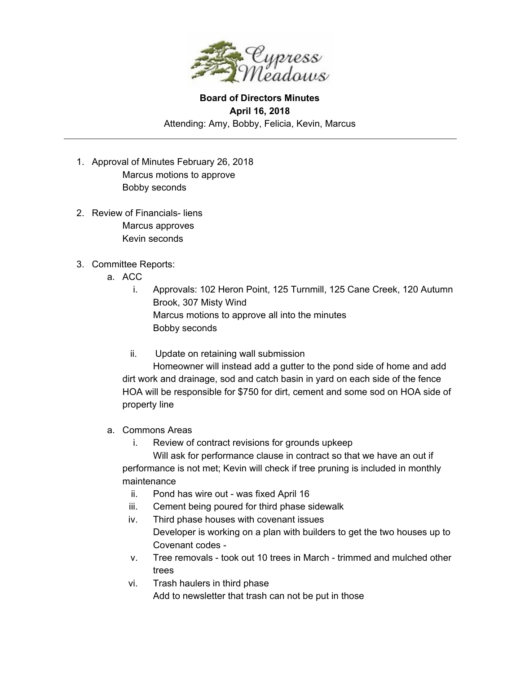

## **Board of Directors Minutes April 16, 2018** Attending: Amy, Bobby, Felicia, Kevin, Marcus

- 1. Approval of Minutes February 26, 2018 Marcus motions to approve Bobby seconds
- 2. Review of Financials- liens Marcus approves Kevin seconds
- 3. Committee Reports:
	- a. ACC
		- i. Approvals: 102 Heron Point, 125 Turnmill, 125 Cane Creek, 120 Autumn Brook, 307 Misty Wind Marcus motions to approve all into the minutes Bobby seconds
		- ii. Update on retaining wall submission

Homeowner will instead add a gutter to the pond side of home and add dirt work and drainage, sod and catch basin in yard on each side of the fence HOA will be responsible for \$750 for dirt, cement and some sod on HOA side of property line

- a. Commons Areas
	- i. Review of contract revisions for grounds upkeep

Will ask for performance clause in contract so that we have an out if performance is not met; Kevin will check if tree pruning is included in monthly maintenance

- ii. Pond has wire out was fixed April 16
- iii. Cement being poured for third phase sidewalk
- iv. Third phase houses with covenant issues Developer is working on a plan with builders to get the two houses up to Covenant codes -
- v. Tree removals took out 10 trees in March trimmed and mulched other trees
- vi. Trash haulers in third phase Add to newsletter that trash can not be put in those